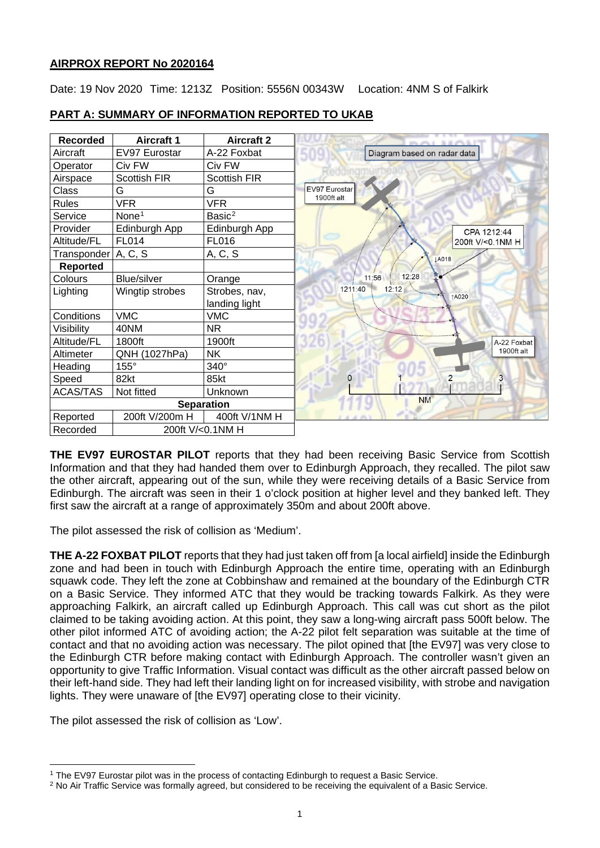## **AIRPROX REPORT No 2020164**

Date: 19 Nov 2020 Time: 1213Z Position: 5556N 00343W Location: 4NM S of Falkirk

| <b>Recorded</b>       | <b>Aircraft 1</b>  | <b>Aircraft 2</b>   |  |  |
|-----------------------|--------------------|---------------------|--|--|
| Aircraft              | EV97 Eurostar      | A-22 Foxbat         |  |  |
| Operator              | Civ FW             | Civ FW              |  |  |
| Airspace              | Scottish FIR       | <b>Scottish FIR</b> |  |  |
| Class                 | G                  | G                   |  |  |
| <b>Rules</b>          | <b>VFR</b>         | <b>VFR</b>          |  |  |
| Service               | None <sup>1</sup>  | Basic <sup>2</sup>  |  |  |
| Provider              | Edinburgh App      | Edinburgh App       |  |  |
| Altitude/FL           | FL014              | FL016               |  |  |
| Transponder   A, C, S |                    | A, C, S             |  |  |
| <b>Reported</b>       |                    |                     |  |  |
| Colours               | <b>Blue/silver</b> | Orange              |  |  |
| Lighting              | Wingtip strobes    | Strobes, nav,       |  |  |
|                       |                    | landing light       |  |  |
| Conditions            | <b>VMC</b>         | <b>VMC</b>          |  |  |
| Visibility            | 40NM               | NR.                 |  |  |
| Altitude/FL           | 1800ft             | 1900ft              |  |  |
| Altimeter             | QNH (1027hPa)      | NK.                 |  |  |
| Heading               | 155°               | 340°                |  |  |
| Speed                 | 82kt               | 85kt                |  |  |
| <b>ACAS/TAS</b>       | Not fitted         | Unknown             |  |  |
| <b>Separation</b>     |                    |                     |  |  |
| Reported              | 200ft V/200m H     | 400ft V/1NM H       |  |  |
| Recorded              |                    | 200ft V/<0.1NM H    |  |  |

# **PART A: SUMMARY OF INFORMATION REPORTED TO UKAB**

**THE EV97 EUROSTAR PILOT** reports that they had been receiving Basic Service from Scottish Information and that they had handed them over to Edinburgh Approach, they recalled. The pilot saw the other aircraft, appearing out of the sun, while they were receiving details of a Basic Service from Edinburgh. The aircraft was seen in their 1 o'clock position at higher level and they banked left. They first saw the aircraft at a range of approximately 350m and about 200ft above.

The pilot assessed the risk of collision as 'Medium'.

**THE A-22 FOXBAT PILOT** reports that they had just taken off from [a local airfield] inside the Edinburgh zone and had been in touch with Edinburgh Approach the entire time, operating with an Edinburgh squawk code. They left the zone at Cobbinshaw and remained at the boundary of the Edinburgh CTR on a Basic Service. They informed ATC that they would be tracking towards Falkirk. As they were approaching Falkirk, an aircraft called up Edinburgh Approach. This call was cut short as the pilot claimed to be taking avoiding action. At this point, they saw a long-wing aircraft pass 500ft below. The other pilot informed ATC of avoiding action; the A-22 pilot felt separation was suitable at the time of contact and that no avoiding action was necessary. The pilot opined that [the EV97] was very close to the Edinburgh CTR before making contact with Edinburgh Approach. The controller wasn't given an opportunity to give Traffic Information. Visual contact was difficult as the other aircraft passed below on their left-hand side. They had left their landing light on for increased visibility, with strobe and navigation lights. They were unaware of [the EV97] operating close to their vicinity.

The pilot assessed the risk of collision as 'Low'.

<span id="page-0-0"></span><sup>1</sup> The EV97 Eurostar pilot was in the process of contacting Edinburgh to request a Basic Service.

<span id="page-0-1"></span><sup>&</sup>lt;sup>2</sup> No Air Traffic Service was formally agreed, but considered to be receiving the equivalent of a Basic Service.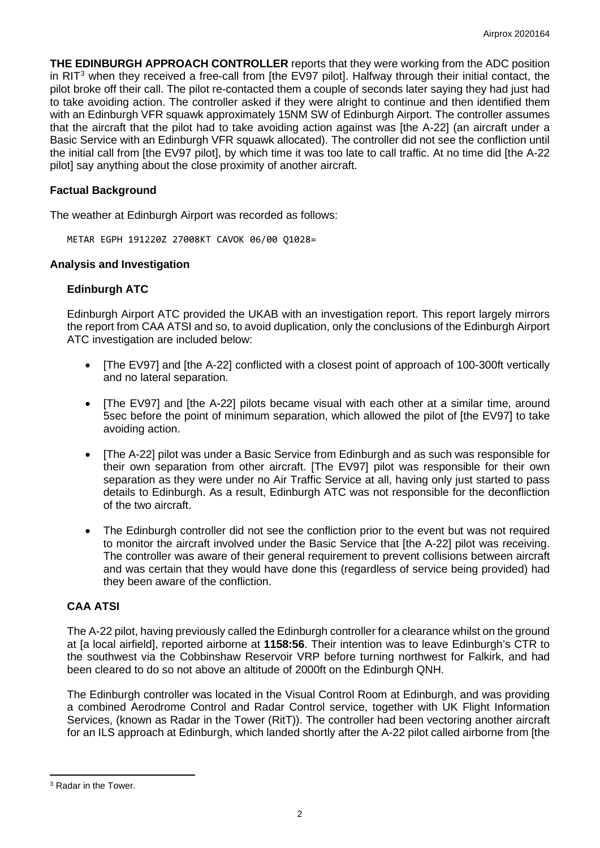**THE EDINBURGH APPROACH CONTROLLER** reports that they were working from the ADC position in RIT $3$  when they received a free-call from [the EV97 pilot]. Halfway through their initial contact, the pilot broke off their call. The pilot re-contacted them a couple of seconds later saying they had just had to take avoiding action. The controller asked if they were alright to continue and then identified them with an Edinburgh VFR squawk approximately 15NM SW of Edinburgh Airport. The controller assumes that the aircraft that the pilot had to take avoiding action against was [the A-22] (an aircraft under a Basic Service with an Edinburgh VFR squawk allocated). The controller did not see the confliction until the initial call from [the EV97 pilot], by which time it was too late to call traffic. At no time did [the A-22 pilot] say anything about the close proximity of another aircraft.

## **Factual Background**

The weather at Edinburgh Airport was recorded as follows:

METAR EGPH 191220Z 27008KT CAVOK 06/00 Q1028=

### **Analysis and Investigation**

# **Edinburgh ATC**

Edinburgh Airport ATC provided the UKAB with an investigation report. This report largely mirrors the report from CAA ATSI and so, to avoid duplication, only the conclusions of the Edinburgh Airport ATC investigation are included below:

- [The EV97] and [the A-22] conflicted with a closest point of approach of 100-300ft vertically and no lateral separation.
- [The EV97] and [the A-22] pilots became visual with each other at a similar time, around 5sec before the point of minimum separation, which allowed the pilot of [the EV97] to take avoiding action.
- [The A-22] pilot was under a Basic Service from Edinburgh and as such was responsible for their own separation from other aircraft. [The EV97] pilot was responsible for their own separation as they were under no Air Traffic Service at all, having only just started to pass details to Edinburgh. As a result, Edinburgh ATC was not responsible for the deconfliction of the two aircraft.
- The Edinburgh controller did not see the confliction prior to the event but was not required to monitor the aircraft involved under the Basic Service that [the A-22] pilot was receiving. The controller was aware of their general requirement to prevent collisions between aircraft and was certain that they would have done this (regardless of service being provided) had they been aware of the confliction.

# **CAA ATSI**

The A-22 pilot, having previously called the Edinburgh controller for a clearance whilst on the ground at [a local airfield], reported airborne at **1158:56**. Their intention was to leave Edinburgh's CTR to the southwest via the Cobbinshaw Reservoir VRP before turning northwest for Falkirk, and had been cleared to do so not above an altitude of 2000ft on the Edinburgh QNH.

The Edinburgh controller was located in the Visual Control Room at Edinburgh, and was providing a combined Aerodrome Control and Radar Control service, together with UK Flight Information Services, (known as Radar in the Tower (RitT)). The controller had been vectoring another aircraft for an ILS approach at Edinburgh, which landed shortly after the A-22 pilot called airborne from [the

<span id="page-1-0"></span><sup>3</sup> Radar in the Tower.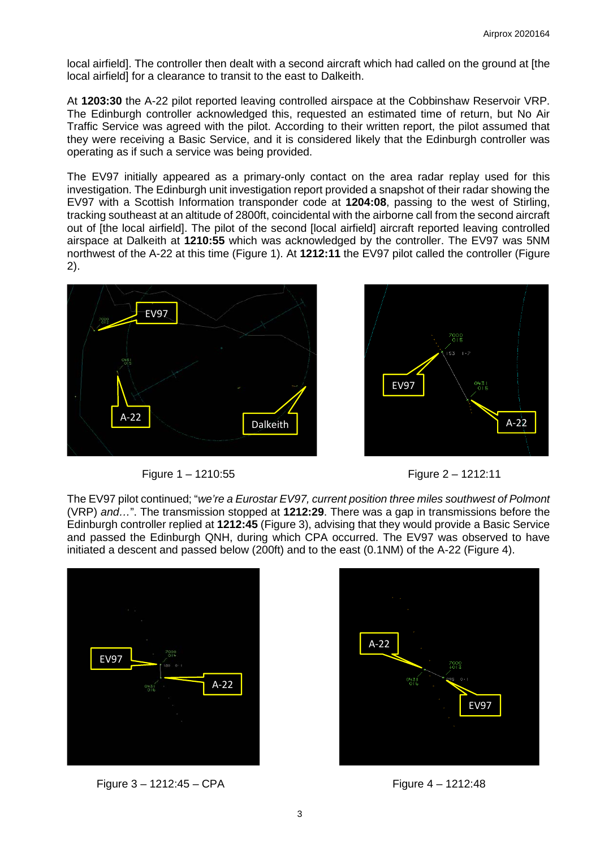local airfield]. The controller then dealt with a second aircraft which had called on the ground at [the local airfield] for a clearance to transit to the east to Dalkeith.

At **1203:30** the A-22 pilot reported leaving controlled airspace at the Cobbinshaw Reservoir VRP. The Edinburgh controller acknowledged this, requested an estimated time of return, but No Air Traffic Service was agreed with the pilot. According to their written report, the pilot assumed that they were receiving a Basic Service, and it is considered likely that the Edinburgh controller was operating as if such a service was being provided.

The EV97 initially appeared as a primary-only contact on the area radar replay used for this investigation. The Edinburgh unit investigation report provided a snapshot of their radar showing the EV97 with a Scottish Information transponder code at **1204:08**, passing to the west of Stirling, tracking southeast at an altitude of 2800ft, coincidental with the airborne call from the second aircraft out of [the local airfield]. The pilot of the second [local airfield] aircraft reported leaving controlled airspace at Dalkeith at **1210:55** which was acknowledged by the controller. The EV97 was 5NM northwest of the A-22 at this time (Figure 1). At **1212:11** the EV97 pilot called the controller (Figure 2).







The EV97 pilot continued; "*we're a Eurostar EV97, current position three miles southwest of Polmont*  (VRP) *and…*". The transmission stopped at **1212:29**. There was a gap in transmissions before the Edinburgh controller replied at **1212:45** (Figure 3), advising that they would provide a Basic Service and passed the Edinburgh QNH, during which CPA occurred. The EV97 was observed to have initiated a descent and passed below (200ft) and to the east (0.1NM) of the A-22 (Figure 4).



Figure 3 – 1212:45 – CPA Figure 4 – 1212:48

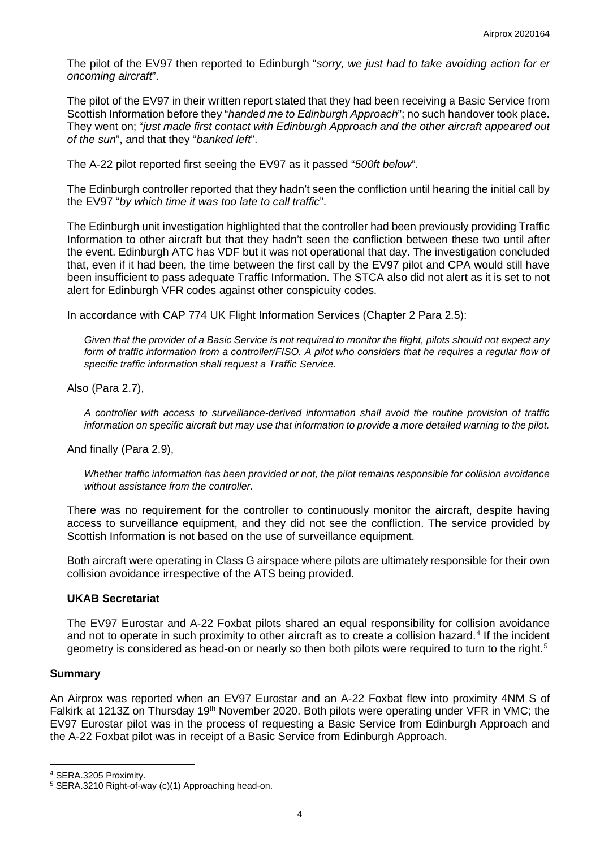The pilot of the EV97 then reported to Edinburgh "*sorry, we just had to take avoiding action for er oncoming aircraft*".

The pilot of the EV97 in their written report stated that they had been receiving a Basic Service from Scottish Information before they "*handed me to Edinburgh Approach*"; no such handover took place. They went on; "*just made first contact with Edinburgh Approach and the other aircraft appeared out of the sun*", and that they "*banked left*".

The A-22 pilot reported first seeing the EV97 as it passed "*500ft below*".

The Edinburgh controller reported that they hadn't seen the confliction until hearing the initial call by the EV97 "*by which time it was too late to call traffic*".

The Edinburgh unit investigation highlighted that the controller had been previously providing Traffic Information to other aircraft but that they hadn't seen the confliction between these two until after the event. Edinburgh ATC has VDF but it was not operational that day. The investigation concluded that, even if it had been, the time between the first call by the EV97 pilot and CPA would still have been insufficient to pass adequate Traffic Information. The STCA also did not alert as it is set to not alert for Edinburgh VFR codes against other conspicuity codes.

In accordance with CAP 774 UK Flight Information Services (Chapter 2 Para 2.5):

*Given that the provider of a Basic Service is not required to monitor the flight, pilots should not expect any form of traffic information from a controller/FISO. A pilot who considers that he requires a regular flow of specific traffic information shall request a Traffic Service.*

Also (Para 2.7),

*A controller with access to surveillance-derived information shall avoid the routine provision of traffic information on specific aircraft but may use that information to provide a more detailed warning to the pilot.*

And finally (Para 2.9),

*Whether traffic information has been provided or not, the pilot remains responsible for collision avoidance without assistance from the controller.*

There was no requirement for the controller to continuously monitor the aircraft, despite having access to surveillance equipment, and they did not see the confliction. The service provided by Scottish Information is not based on the use of surveillance equipment.

Both aircraft were operating in Class G airspace where pilots are ultimately responsible for their own collision avoidance irrespective of the ATS being provided.

### **UKAB Secretariat**

The EV97 Eurostar and A-22 Foxbat pilots shared an equal responsibility for collision avoidance and not to operate in such proximity to other aircraft as to create a collision hazard. [4](#page-3-0) If the incident geometry is considered as head-on or nearly so then both pilots were required to turn to the right. [5](#page-3-1)

#### **Summary**

An Airprox was reported when an EV97 Eurostar and an A-22 Foxbat flew into proximity 4NM S of Falkirk at 1213Z on Thursday 19<sup>th</sup> November 2020. Both pilots were operating under VFR in VMC; the EV97 Eurostar pilot was in the process of requesting a Basic Service from Edinburgh Approach and the A-22 Foxbat pilot was in receipt of a Basic Service from Edinburgh Approach.

<span id="page-3-0"></span><sup>4</sup> SERA.3205 Proximity.

<span id="page-3-1"></span><sup>5</sup> SERA.3210 Right-of-way (c)(1) Approaching head-on.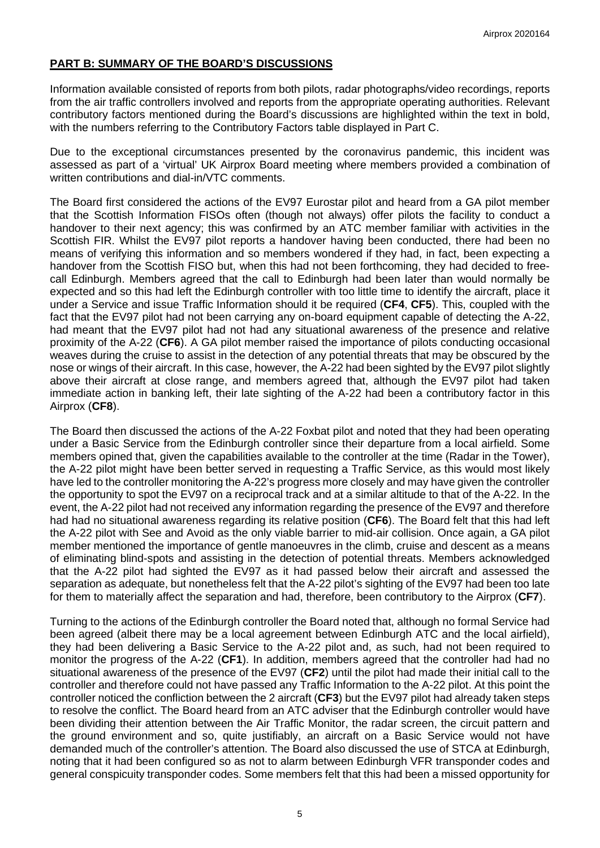# **PART B: SUMMARY OF THE BOARD'S DISCUSSIONS**

Information available consisted of reports from both pilots, radar photographs/video recordings, reports from the air traffic controllers involved and reports from the appropriate operating authorities. Relevant contributory factors mentioned during the Board's discussions are highlighted within the text in bold, with the numbers referring to the Contributory Factors table displayed in Part C.

Due to the exceptional circumstances presented by the coronavirus pandemic, this incident was assessed as part of a 'virtual' UK Airprox Board meeting where members provided a combination of written contributions and dial-in/VTC comments.

The Board first considered the actions of the EV97 Eurostar pilot and heard from a GA pilot member that the Scottish Information FISOs often (though not always) offer pilots the facility to conduct a handover to their next agency; this was confirmed by an ATC member familiar with activities in the Scottish FIR. Whilst the EV97 pilot reports a handover having been conducted, there had been no means of verifying this information and so members wondered if they had, in fact, been expecting a handover from the Scottish FISO but, when this had not been forthcoming, they had decided to freecall Edinburgh. Members agreed that the call to Edinburgh had been later than would normally be expected and so this had left the Edinburgh controller with too little time to identify the aircraft, place it under a Service and issue Traffic Information should it be required (**CF4**, **CF5**). This, coupled with the fact that the EV97 pilot had not been carrying any on-board equipment capable of detecting the A-22, had meant that the EV97 pilot had not had any situational awareness of the presence and relative proximity of the A-22 (**CF6**). A GA pilot member raised the importance of pilots conducting occasional weaves during the cruise to assist in the detection of any potential threats that may be obscured by the nose or wings of their aircraft. In this case, however, the A-22 had been sighted by the EV97 pilot slightly above their aircraft at close range, and members agreed that, although the EV97 pilot had taken immediate action in banking left, their late sighting of the A-22 had been a contributory factor in this Airprox (**CF8**).

The Board then discussed the actions of the A-22 Foxbat pilot and noted that they had been operating under a Basic Service from the Edinburgh controller since their departure from a local airfield. Some members opined that, given the capabilities available to the controller at the time (Radar in the Tower), the A-22 pilot might have been better served in requesting a Traffic Service, as this would most likely have led to the controller monitoring the A-22's progress more closely and may have given the controller the opportunity to spot the EV97 on a reciprocal track and at a similar altitude to that of the A-22. In the event, the A-22 pilot had not received any information regarding the presence of the EV97 and therefore had had no situational awareness regarding its relative position (**CF6**). The Board felt that this had left the A-22 pilot with See and Avoid as the only viable barrier to mid-air collision. Once again, a GA pilot member mentioned the importance of gentle manoeuvres in the climb, cruise and descent as a means of eliminating blind-spots and assisting in the detection of potential threats. Members acknowledged that the A-22 pilot had sighted the EV97 as it had passed below their aircraft and assessed the separation as adequate, but nonetheless felt that the A-22 pilot's sighting of the EV97 had been too late for them to materially affect the separation and had, therefore, been contributory to the Airprox (**CF7**).

Turning to the actions of the Edinburgh controller the Board noted that, although no formal Service had been agreed (albeit there may be a local agreement between Edinburgh ATC and the local airfield), they had been delivering a Basic Service to the A-22 pilot and, as such, had not been required to monitor the progress of the A-22 (**CF1**). In addition, members agreed that the controller had had no situational awareness of the presence of the EV97 (**CF2**) until the pilot had made their initial call to the controller and therefore could not have passed any Traffic Information to the A-22 pilot. At this point the controller noticed the confliction between the 2 aircraft (**CF3**) but the EV97 pilot had already taken steps to resolve the conflict. The Board heard from an ATC adviser that the Edinburgh controller would have been dividing their attention between the Air Traffic Monitor, the radar screen, the circuit pattern and the ground environment and so, quite justifiably, an aircraft on a Basic Service would not have demanded much of the controller's attention. The Board also discussed the use of STCA at Edinburgh, noting that it had been configured so as not to alarm between Edinburgh VFR transponder codes and general conspicuity transponder codes. Some members felt that this had been a missed opportunity for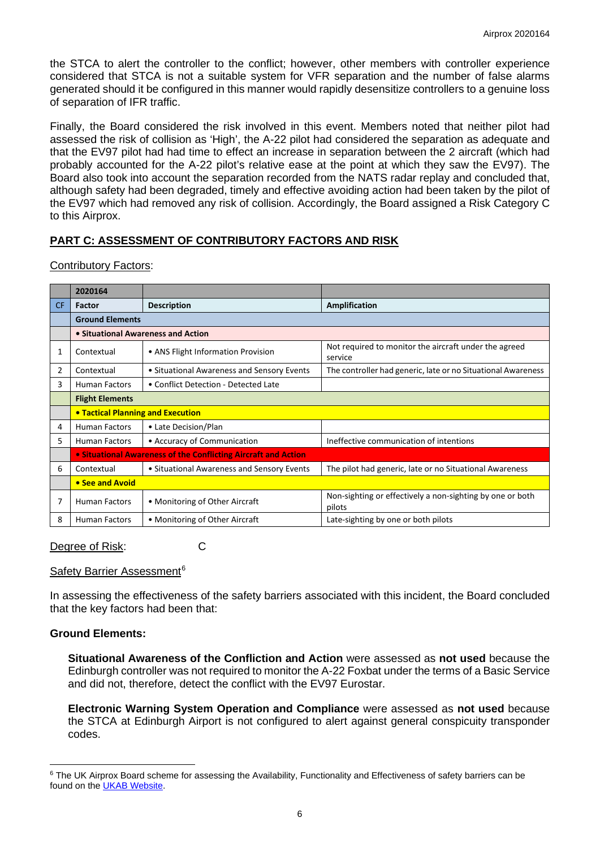the STCA to alert the controller to the conflict; however, other members with controller experience considered that STCA is not a suitable system for VFR separation and the number of false alarms generated should it be configured in this manner would rapidly desensitize controllers to a genuine loss of separation of IFR traffic.

Finally, the Board considered the risk involved in this event. Members noted that neither pilot had assessed the risk of collision as 'High', the A-22 pilot had considered the separation as adequate and that the EV97 pilot had had time to effect an increase in separation between the 2 aircraft (which had probably accounted for the A-22 pilot's relative ease at the point at which they saw the EV97). The Board also took into account the separation recorded from the NATS radar replay and concluded that, although safety had been degraded, timely and effective avoiding action had been taken by the pilot of the EV97 which had removed any risk of collision. Accordingly, the Board assigned a Risk Category C to this Airprox.

# **PART C: ASSESSMENT OF CONTRIBUTORY FACTORS AND RISK**

Contributory Factors:

|                | 2020164                                                        |                                            |                                                                     |  |  |  |  |  |  |
|----------------|----------------------------------------------------------------|--------------------------------------------|---------------------------------------------------------------------|--|--|--|--|--|--|
| <b>CF</b>      | <b>Factor</b>                                                  | <b>Description</b>                         | Amplification                                                       |  |  |  |  |  |  |
|                | <b>Ground Elements</b>                                         |                                            |                                                                     |  |  |  |  |  |  |
|                | • Situational Awareness and Action                             |                                            |                                                                     |  |  |  |  |  |  |
| 1              | Contextual                                                     | • ANS Flight Information Provision         | Not required to monitor the aircraft under the agreed<br>service    |  |  |  |  |  |  |
| $\overline{2}$ | Contextual                                                     | • Situational Awareness and Sensory Events | The controller had generic, late or no Situational Awareness        |  |  |  |  |  |  |
| 3              | <b>Human Factors</b>                                           | • Conflict Detection - Detected Late       |                                                                     |  |  |  |  |  |  |
|                | <b>Flight Elements</b>                                         |                                            |                                                                     |  |  |  |  |  |  |
|                | • Tactical Planning and Execution                              |                                            |                                                                     |  |  |  |  |  |  |
| 4              | <b>Human Factors</b>                                           | • Late Decision/Plan                       |                                                                     |  |  |  |  |  |  |
| 5              | <b>Human Factors</b>                                           | • Accuracy of Communication                | Ineffective communication of intentions                             |  |  |  |  |  |  |
|                | • Situational Awareness of the Conflicting Aircraft and Action |                                            |                                                                     |  |  |  |  |  |  |
| 6              | Contextual                                                     | • Situational Awareness and Sensory Events | The pilot had generic, late or no Situational Awareness             |  |  |  |  |  |  |
|                | • See and Avoid                                                |                                            |                                                                     |  |  |  |  |  |  |
| 7              | <b>Human Factors</b>                                           | • Monitoring of Other Aircraft             | Non-sighting or effectively a non-sighting by one or both<br>pilots |  |  |  |  |  |  |
| 8              | <b>Human Factors</b>                                           | • Monitoring of Other Aircraft             | Late-sighting by one or both pilots                                 |  |  |  |  |  |  |

Degree of Risk: C

### Safety Barrier Assessment<sup>[6](#page-5-0)</sup>

In assessing the effectiveness of the safety barriers associated with this incident, the Board concluded that the key factors had been that:

### **Ground Elements:**

**Situational Awareness of the Confliction and Action** were assessed as **not used** because the Edinburgh controller was not required to monitor the A-22 Foxbat under the terms of a Basic Service and did not, therefore, detect the conflict with the EV97 Eurostar.

**Electronic Warning System Operation and Compliance** were assessed as **not used** because the STCA at Edinburgh Airport is not configured to alert against general conspicuity transponder codes.

<span id="page-5-0"></span><sup>&</sup>lt;sup>6</sup> The UK Airprox Board scheme for assessing the Availability, Functionality and Effectiveness of safety barriers can be found on the [UKAB Website.](http://www.airproxboard.org.uk/Learn-more/Airprox-Barrier-Assessment/)